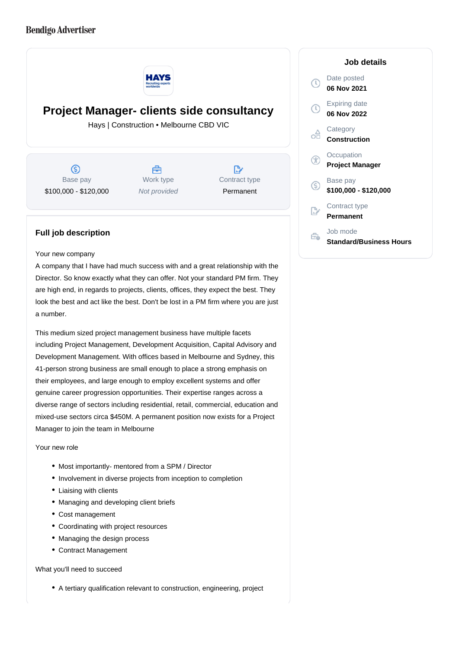## **Bendigo Advertiser**



**Project Manager- clients side consultancy**

Hays | Construction • Melbourne CBD VIC

൫ Base pay \$100,000 - \$120,000

A Work type Not provided

D Contract type Permanent

## **Full job description**

Your new company

A company that I have had much success with and a great relationship with the Director. So know exactly what they can offer. Not your standard PM firm. They are high end, in regards to projects, clients, offices, they expect the best. They look the best and act like the best. Don't be lost in a PM firm where you are just a number.

This medium sized project management business have multiple facets including Project Management, Development Acquisition, Capital Advisory and Development Management. With offices based in Melbourne and Sydney, this 41-person strong business are small enough to place a strong emphasis on their employees, and large enough to employ excellent systems and offer genuine career progression opportunities. Their expertise ranges across a diverse range of sectors including residential, retail, commercial, education and mixed-use sectors circa \$450M. A permanent position now exists for a Project Manager to join the team in Melbourne

Your new role

- Most importantly- mentored from a SPM / Director
- Involvement in diverse projects from inception to completion
- Liaising with clients
- Managing and developing client briefs
- Cost management
- Coordinating with project resources
- Managing the design process
- Contract Management

What you'll need to succeed

A tertiary qualification relevant to construction, engineering, project

## **Job details**